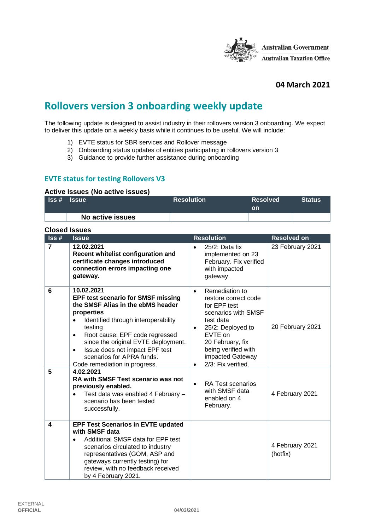

## **04 March 2021**

# **Rollovers version 3 onboarding weekly update**

The following update is designed to assist industry in their rollovers version 3 onboarding. We expect to deliver this update on a weekly basis while it continues to be useful. We will include:

- 1) EVTE status for SBR services and Rollover message
- 2) Onboarding status updates of entities participating in rollovers version 3
- 3) Guidance to provide further assistance during onboarding

## **EVTE status for testing Rollovers V3**

#### **Active Issues (No active issues)**

| $\textsf{Iss}\,\textsf{\#}$ | <b>Issue</b> |                  | <b>Resolution</b> | <b>Resolved</b><br><b>on</b> | <b>Status</b> |
|-----------------------------|--------------|------------------|-------------------|------------------------------|---------------|
|                             |              | No active issues |                   |                              |               |

#### **Closed Issues**

| $\textsf{lss}\,\texttt{\#}$ | <b>Issue</b>                                                                                                                                                                                                                                                                                                                                                                 | <b>Resolution</b>                                                                                                                                                                                                                         | Resolved on                 |
|-----------------------------|------------------------------------------------------------------------------------------------------------------------------------------------------------------------------------------------------------------------------------------------------------------------------------------------------------------------------------------------------------------------------|-------------------------------------------------------------------------------------------------------------------------------------------------------------------------------------------------------------------------------------------|-----------------------------|
| $\overline{7}$              | 12.02.2021<br>Recent whitelist configuration and<br>certificate changes introduced<br>connection errors impacting one<br>gateway.                                                                                                                                                                                                                                            | 25/2: Data fix<br>implemented on 23<br>February. Fix verified<br>with impacted<br>gateway.                                                                                                                                                | 23 February 2021            |
| 6                           | 10.02.2021<br><b>EPF test scenario for SMSF missing</b><br>the SMSF Alias in the ebMS header<br>properties<br>Identified through interoperability<br>$\bullet$<br>testing<br>Root cause: EPF code regressed<br>$\bullet$<br>since the original EVTE deployment.<br>Issue does not impact EPF test<br>$\bullet$<br>scenarios for APRA funds.<br>Code remediation in progress. | Remediation to<br>$\bullet$<br>restore correct code<br>for EPF test<br>scenarios with SMSF<br>test data<br>25/2: Deployed to<br>$\bullet$<br>EVTE on<br>20 February, fix<br>being verified with<br>impacted Gateway<br>2/3: Fix verified. | 20 February 2021            |
| 5                           | 4.02.2021<br>RA with SMSF Test scenario was not<br>previously enabled.<br>Test data was enabled 4 February -<br>scenario has been tested<br>successfully.                                                                                                                                                                                                                    | <b>RA Test scenarios</b><br>$\bullet$<br>with SMSF data<br>enabled on 4<br>February.                                                                                                                                                      | 4 February 2021             |
| 4                           | <b>EPF Test Scenarios in EVTE updated</b><br>with SMSF data<br>Additional SMSF data for EPF test<br>$\bullet$<br>scenarios circulated to industry<br>representatives (GOM, ASP and<br>gateways currently testing) for<br>review, with no feedback received<br>by 4 February 2021.                                                                                            |                                                                                                                                                                                                                                           | 4 February 2021<br>(hotfix) |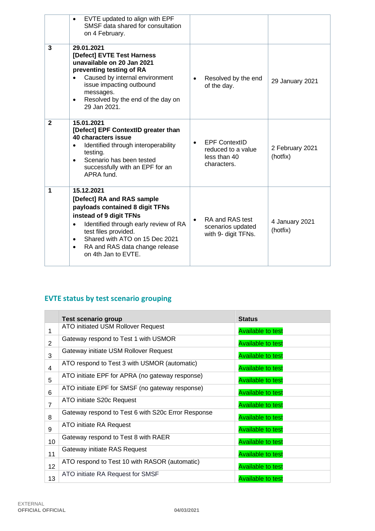|              | EVTE updated to align with EPF<br>$\bullet$<br>SMSF data shared for consultation<br>on 4 February.                                                                                                                                                                                                        |                                                                                        |                             |
|--------------|-----------------------------------------------------------------------------------------------------------------------------------------------------------------------------------------------------------------------------------------------------------------------------------------------------------|----------------------------------------------------------------------------------------|-----------------------------|
| 3            | 29.01.2021<br>[Defect] EVTE Test Harness<br>unavailable on 20 Jan 2021<br>preventing testing of RA<br>Caused by internal environment<br>issue impacting outbound<br>messages.<br>Resolved by the end of the day on<br>$\bullet$<br>29 Jan 2021.                                                           | Resolved by the end<br>$\bullet$<br>of the day.                                        | 29 January 2021             |
| $\mathbf{2}$ | 15.01.2021<br>[Defect] EPF ContextID greater than<br>40 characters issue<br>Identified through interoperability<br>testing.<br>Scenario has been tested<br>$\bullet$<br>successfully with an EPF for an<br>APRA fund.                                                                                     | <b>EPF ContextID</b><br>$\bullet$<br>reduced to a value<br>less than 40<br>characters. | 2 February 2021<br>(hotfix) |
| 1            | 15.12.2021<br>[Defect] RA and RAS sample<br>payloads contained 8 digit TFNs<br>instead of 9 digit TFNs<br>Identified through early review of RA<br>$\bullet$<br>test files provided.<br>Shared with ATO on 15 Dec 2021<br>$\bullet$<br>RA and RAS data change release<br>$\bullet$<br>on 4th Jan to EVTE. | RA and RAS test<br>$\bullet$<br>scenarios updated<br>with 9- digit TFNs.               | 4 January 2021<br>(hotfix)  |

## **EVTE status by test scenario grouping**

|                | <b>Test scenario group</b>                         | <b>Status</b>            |
|----------------|----------------------------------------------------|--------------------------|
| 1              | ATO initiated USM Rollover Request                 | <b>Available to test</b> |
| $\overline{2}$ | Gateway respond to Test 1 with USMOR               | <b>Available to test</b> |
| 3              | Gateway initiate USM Rollover Request              | <b>Available to test</b> |
| 4              | ATO respond to Test 3 with USMOR (automatic)       | <b>Available to test</b> |
| 5              | ATO initiate EPF for APRA (no gateway response)    | <b>Available to test</b> |
| 6              | ATO initiate EPF for SMSF (no gateway response)    | <b>Available to test</b> |
| 7              | ATO initiate S20c Request                          | <b>Available to test</b> |
| 8              | Gateway respond to Test 6 with S20c Error Response | <b>Available to test</b> |
| 9              | ATO initiate RA Request                            | <b>Available to test</b> |
| 10             | Gateway respond to Test 8 with RAER                | <b>Available to test</b> |
| 11             | Gateway initiate RAS Request                       | <b>Available to test</b> |
| 12             | ATO respond to Test 10 with RASOR (automatic)      | <b>Available to test</b> |
| 13             | ATO initiate RA Request for SMSF                   | <b>Available to test</b> |